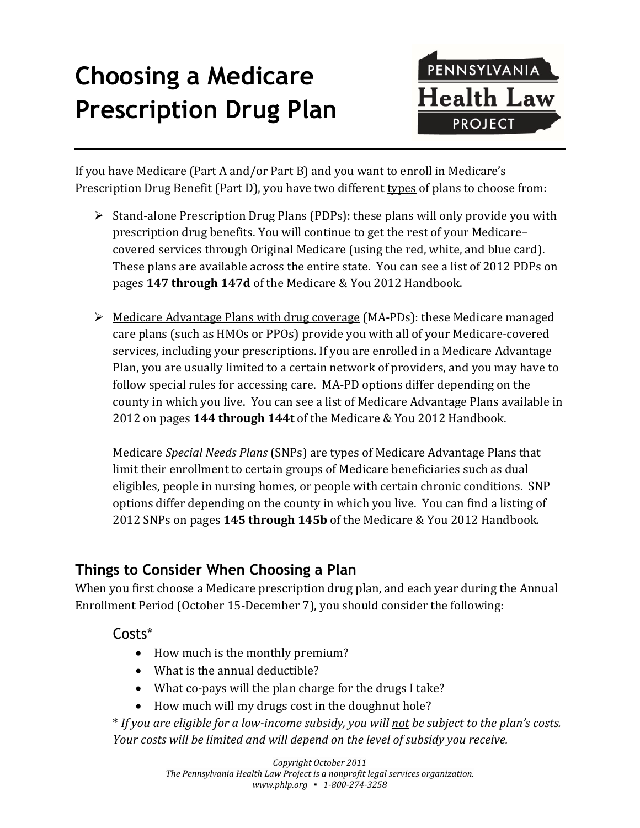# **Choosing a Medicare Prescription Drug Plan**



If you have Medicare (Part A and/or Part B) and you want to enroll in Medicare's Prescription Drug Benefit (Part D), you have two different types of plans to choose from:

- $\triangleright$  Stand-alone Prescription Drug Plans (PDPs): these plans will only provide you with prescription drug benefits. You will continue to get the rest of your Medicare– covered services through Original Medicare (using the red, white, and blue card). These plans are available across the entire state. You can see a list of 2012 PDPs on pages **147 through 147d** of the Medicare & You 2012 Handbook.
- $\triangleright$  Medicare Advantage Plans with drug coverage (MA-PDs): these Medicare managed care plans (such as HMOs or PPOs) provide you with all of your Medicare-covered services, including your prescriptions. If you are enrolled in a Medicare Advantage Plan, you are usually limited to a certain network of providers, and you may have to follow special rules for accessing care. MA-PD options differ depending on the county in which you live. You can see a list of Medicare Advantage Plans available in 2012 on pages **144 through 144t** of the Medicare & You 2012 Handbook.

Medicare *Special Needs Plans* (SNPs) are types of Medicare Advantage Plans that limit their enrollment to certain groups of Medicare beneficiaries such as dual eligibles, people in nursing homes, or people with certain chronic conditions. SNP options differ depending on the county in which you live. You can find a listing of 2012 SNPs on pages **145 through 145b** of the Medicare & You 2012 Handbook.

# **Things to Consider When Choosing a Plan**

When you first choose a Medicare prescription drug plan, and each year during the Annual Enrollment Period (October 15-December 7), you should consider the following:

Costs\*

- How much is the monthly premium?
- What is the annual deductible?
- What co-pays will the plan charge for the drugs I take?
- How much will my drugs cost in the doughnut hole?

\* *If you are eligible for a low-income subsidy, you will not be subject to the plan's costs. Your costs will be limited and will depend on the level of subsidy you receive.*